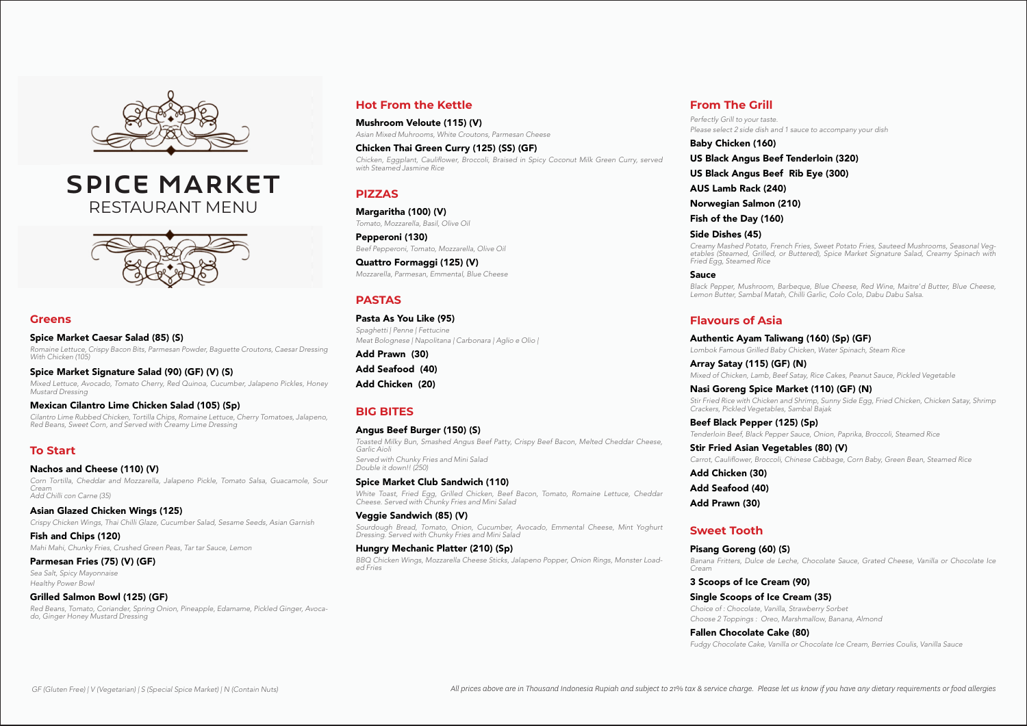### **From The Grill**

*Perfectly Grill to your taste. Please select 2 side dish and 1 sauce to accompany your dish*

Baby Chicken (160)

# US Black Angus Beef Tenderloin (320)

US Black Angus Beef Rib Eye (300)

AUS Lamb Rack (240)

Norwegian Salmon (210)

Fish of the Day (160)

#### Side Dishes (45)

*Creamy Mashed Potato, French Fries, Sweet Potato Fries, Sauteed Mushrooms, Seasonal Vegetables (Steamed, Grilled, or Buttered), Spice Market Signature Salad, Creamy Spinach with Fried Egg, Steamed Rice*

Sauce

*Black Pepper, Mushroom, Barbeque, Blue Cheese, Red Wine, Maitre'd Butter, Blue Cheese, Lemon Butter, Sambal Matah, Chilli Garlic, Colo Colo, Dabu Dabu Salsa.*

## **Flavours of Asia**

#### Authentic Ayam Taliwang (160) (Sp) (GF)

*Lombok Famous Grilled Baby Chicken, Water Spinach, Steam Rice*

Array Satay (115) (GF) (N)

*Mixed of Chicken, Lamb, Beef Satay, Rice Cakes, Peanut Sauce, Pickled Vegetable*

#### Nasi Goreng Spice Market (110) (GF) (N)

*Stir Fried Rice with Chicken and Shrimp, Sunny Side Egg, Fried Chicken, Chicken Satay, Shrimp* 

*Crackers, Pickled Vegetables, Sambal Bajak*

Beef Black Pepper (125) (Sp) *Tenderloin Beef, Black Pepper Sauce, Onion, Paprika, Broccoli, Steamed Rice* Stir Fried Asian Vegetables (80) (V)

Carrot, Cauliflower, Broccoli, Chinese Cabbage, Corn Baby, Green Bean, Steamed Rice

Add Chicken (30) Add Seafood (40) Add Prawn (30)

#### **Sweet Tooth**

Pisang Goreng (60) (S) *Cream*

*Banana Fritters, Dulce de Leche, Chocolate Sauce, Grated Cheese, Vanilla or Chocolate Ice* 

3 Scoops of Ice Cream (90) Single Scoops of Ice Cream (35) *Choice of : Chocolate, Vanilla, Strawberry Sorbet*

*Choose 2 Toppings : Oreo, Marshmallow, Banana, Almond*

Fallen Chocolate Cake (80)

*Fudgy Chocolate Cake, Vanilla or Chocolate Ice Cream, Berries Coulis, Vanilla Sauce*

#### **Greens**

Spice Market Caesar Salad (85) (S)

*Romaine Lettuce, Crispy Bacon Bits, Parmesan Powder, Baguette Croutons, Caesar Dressing With Chicken (105)*

#### Spice Market Signature Salad (90) (GF) (V) (S)

*Mixed Lettuce, Avocado, Tomato Cherry, Red Quinoa, Cucumber, Jalapeno Pickles, Honey Mustard Dressing*

#### Mexican Cilantro Lime Chicken Salad (105) (Sp)

*Cilantro Lime Rubbed Chicken, Tortilla Chips, Romaine Lettuce, Cherry Tomatoes, Jalapeno, Red Beans, Sweet Corn, and Served with Creamy Lime Dressing*

#### **To Start**

#### Nachos and Cheese (110) (V)

*Corn Tortilla, Cheddar and Mozzarella, Jalapeno Pickle, Tomato Salsa, Guacamole, Sour Cream Add Chilli con Carne (35)*

#### Asian Glazed Chicken Wings (125)

*Crispy Chicken Wings, Thai Chilli Glaze, Cucumber Salad, Sesame Seeds, Asian Garnish*

Fish and Chips (120) *Mahi Mahi, Chunky Fries, Crushed Green Peas, Tar tar Sauce, Lemon*

#### Parmesan Fries (75) (V) (GF)

*Sea Salt, Spicy Mayonnaise Healthy Power Bowl*

#### Grilled Salmon Bowl (125) (GF)

*Red Beans, Tomato, Coriander, Spring Onion, Pineapple, Edamame, Pickled Ginger, Avocado, Ginger Honey Mustard Dressing*

#### **Hot From the Kettle**

Mushroom Veloute (115) (V) *Asian Mixed Muhrooms, White Croutons, Parmesan Cheese*

#### Chicken Thai Green Curry (125) (SS) (GF)

Chicken, Eggplant, Cauliflower, Broccoli, Braised in Spicy Coconut Milk Green Curry, served *with Steamed Jasmine Rice*

#### **PIZZAS**

Margaritha (100) (V) *Tomato, Mozzarella, Basil, Olive Oil*

Pepperoni (130) *Beef Pepperoni, Tomato, Mozzarella, Olive Oil*

Quattro Formaggi (125) (V) *Mozzarella, Parmesan, Emmental, Blue Cheese*

### **PASTAS**

Pasta As You Like (95) *Spaghetti | Penne | Fettucine Meat Bolognese | Napolitana | Carbonara | Aglio e Olio |*

Add Prawn (30) Add Seafood (40)

Add Chicken (20)

#### **BIG BITES**

#### Angus Beef Burger (150) (S)

*Toasted Milky Bun, Smashed Angus Beef Patty, Crispy Beef Bacon, Melted Cheddar Cheese, Garlic Aioli Served with Chunky Fries and Mini Salad Double it down!! (250)*

#### Spice Market Club Sandwich (110)

*White Toast, Fried Egg, Grilled Chicken, Beef Bacon, Tomato, Romaine Lettuce, Cheddar Cheese. Served with Chunky Fries and Mini Salad*

Veggie Sandwich (85) (V) *Sourdough Bread, Tomato, Onion, Cucumber, Avocado, Emmental Cheese, Mint Yoghurt Dressing. Served with Chunky Fries and Mini Salad*

## Hungry Mechanic Platter (210) (Sp)

*BBQ Chicken Wings, Mozzarella Cheese Sticks, Jalapeno Popper, Onion Rings, Monster Loaded Fries*



## spice market RESTAURANT MENU